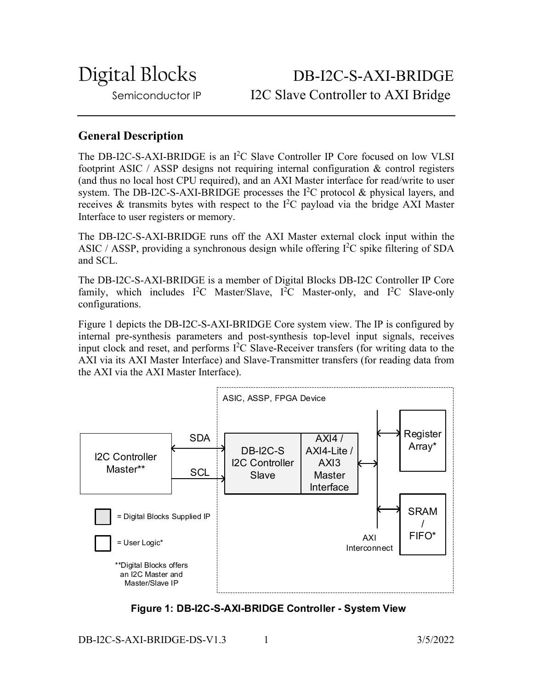Digital Blocks DB-I2C-S-AXI-BRIDGE Semiconductor IP I2C Slave Controller to AXI Bridge

## **General Description**

The DB-I2C-S-AXI-BRIDGE is an I<sup>2</sup>C Slave Controller IP Core focused on low VLSI footprint ASIC / ASSP designs not requiring internal configuration & control registers (and thus no local host CPU required), and an AXI Master interface for read/write to user system. The DB-I2C-S-AXI-BRIDGE processes the  $I<sup>2</sup>C$  protocol & physical layers, and receives & transmits bytes with respect to the  $I<sup>2</sup>C$  payload via the bridge AXI Master Interface to user registers or memory.

The DB-I2C-S-AXI-BRIDGE runs off the AXI Master external clock input within the ASIC / ASSP, providing a synchronous design while offering  $I<sup>2</sup>C$  spike filtering of SDA and SCL.

The DB-I2C-S-AXI-BRIDGE is a member of Digital Blocks DB-I2C Controller IP Core family, which includes  $I^2C$  Master/Slave,  $I^2C$  Master-only, and  $I^2C$  Slave-only configurations.

Figure 1 depicts the DB-I2C-S-AXI-BRIDGE Core system view. The IP is configured by internal pre-synthesis parameters and post-synthesis top-level input signals, receives input clock and reset, and performs I 2 C Slave-Receiver transfers (for writing data to the AXI via its AXI Master Interface) and Slave-Transmitter transfers (for reading data from the AXI via the AXI Master Interface).



**Figure 1: DB-I2C-S-AXI-BRIDGE Controller - System View**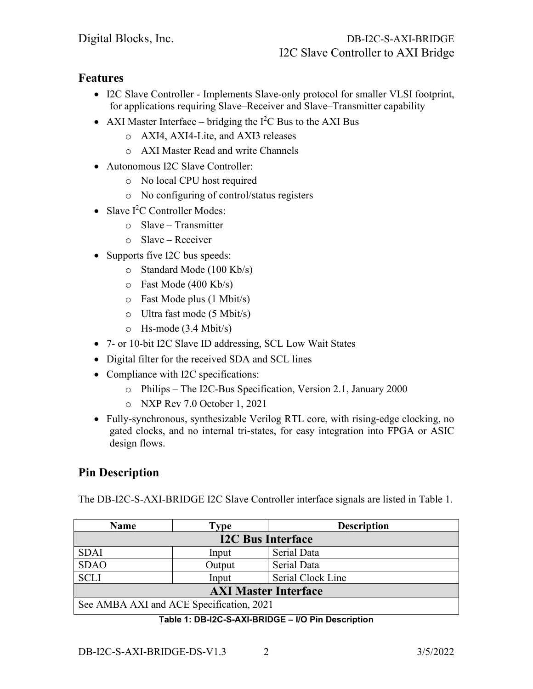## **Features**

- I2C Slave Controller Implements Slave-only protocol for smaller VLSI footprint, for applications requiring Slave–Receiver and Slave–Transmitter capability
- AXI Master Interface bridging the  $I^2C$  Bus to the AXI Bus
	- o AXI4, AXI4-Lite, and AXI3 releases
	- o AXI Master Read and write Channels
- Autonomous I2C Slave Controller:
	- o No local CPU host required
	- o No configuring of control/status registers
- Slave I<sup>2</sup>C Controller Modes:
	- o Slave Transmitter
	- o Slave Receiver
- Supports five I2C bus speeds:
	- o Standard Mode (100 Kb/s)
	- o Fast Mode (400 Kb/s)
	- o Fast Mode plus (1 Mbit/s)
	- o Ultra fast mode (5 Mbit/s)
	- o Hs-mode (3.4 Mbit/s)
- 7- or 10-bit I2C Slave ID addressing, SCL Low Wait States
- Digital filter for the received SDA and SCL lines
- Compliance with I2C specifications:
	- o Philips The I2C-Bus Specification, Version 2.1, January 2000
	- o NXP Rev 7.0 October 1, 2021
- Fully-synchronous, synthesizable Verilog RTL core, with rising-edge clocking, no gated clocks, and no internal tri-states, for easy integration into FPGA or ASIC design flows.

# **Pin Description**

The DB-I2C-S-AXI-BRIDGE I2C Slave Controller interface signals are listed in Table 1.

| <b>Name</b>                              | Type   | <b>Description</b> |
|------------------------------------------|--------|--------------------|
| <b>I2C Bus Interface</b>                 |        |                    |
| <b>SDAI</b>                              | Input  | Serial Data        |
| <b>SDAO</b>                              | Output | Serial Data        |
| <b>SCLI</b>                              | Input  | Serial Clock Line  |
| <b>AXI Master Interface</b>              |        |                    |
| See AMBA AXI and ACE Specification, 2021 |        |                    |

### **Table 1: DB-I2C-S-AXI-BRIDGE – I/O Pin Description**